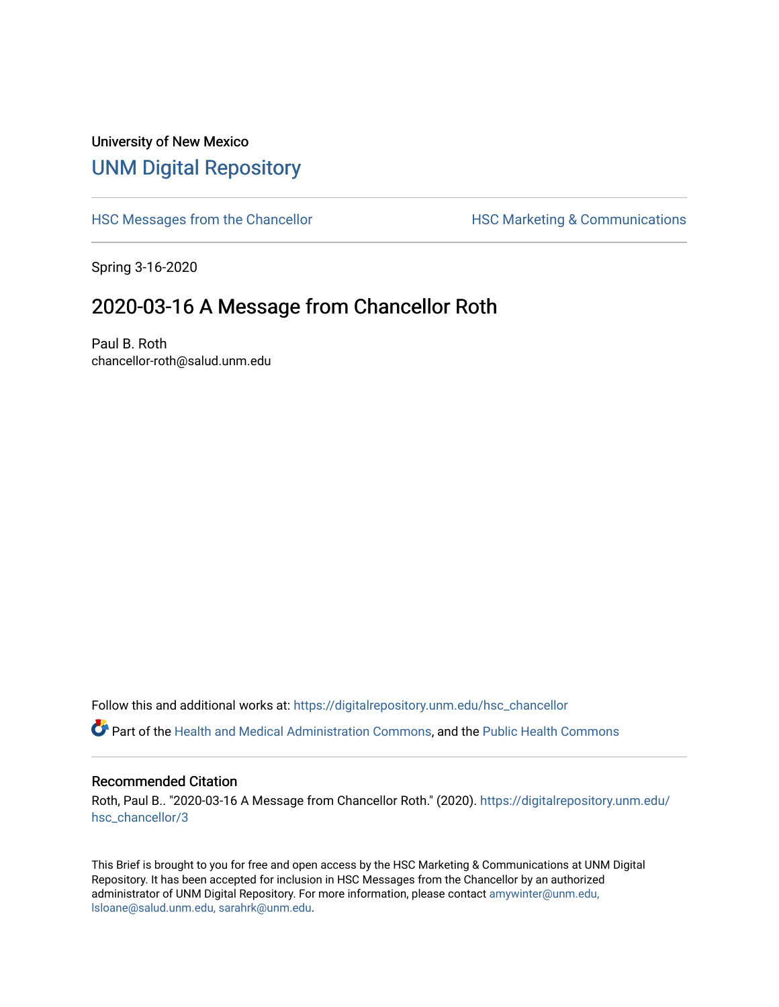## University of New Mexico [UNM Digital Repository](https://digitalrepository.unm.edu/)

[HSC Messages from the Chancellor](https://digitalrepository.unm.edu/hsc_chancellor) **HSC Marketing & Communications** 

Spring 3-16-2020

## 2020-03-16 A Message from Chancellor Roth

Paul B. Roth chancellor-roth@salud.unm.edu

Follow this and additional works at: [https://digitalrepository.unm.edu/hsc\\_chancellor](https://digitalrepository.unm.edu/hsc_chancellor?utm_source=digitalrepository.unm.edu%2Fhsc_chancellor%2F3&utm_medium=PDF&utm_campaign=PDFCoverPages) 

Part of the [Health and Medical Administration Commons](http://network.bepress.com/hgg/discipline/663?utm_source=digitalrepository.unm.edu%2Fhsc_chancellor%2F3&utm_medium=PDF&utm_campaign=PDFCoverPages), and the [Public Health Commons](http://network.bepress.com/hgg/discipline/738?utm_source=digitalrepository.unm.edu%2Fhsc_chancellor%2F3&utm_medium=PDF&utm_campaign=PDFCoverPages) 

#### Recommended Citation

Roth, Paul B.. "2020-03-16 A Message from Chancellor Roth." (2020). [https://digitalrepository.unm.edu/](https://digitalrepository.unm.edu/hsc_chancellor/3?utm_source=digitalrepository.unm.edu%2Fhsc_chancellor%2F3&utm_medium=PDF&utm_campaign=PDFCoverPages) [hsc\\_chancellor/3](https://digitalrepository.unm.edu/hsc_chancellor/3?utm_source=digitalrepository.unm.edu%2Fhsc_chancellor%2F3&utm_medium=PDF&utm_campaign=PDFCoverPages)

This Brief is brought to you for free and open access by the HSC Marketing & Communications at UNM Digital Repository. It has been accepted for inclusion in HSC Messages from the Chancellor by an authorized administrator of UNM Digital Repository. For more information, please contact [amywinter@unm.edu,](mailto:amywinter@unm.edu,%20lsloane@salud.unm.edu,%20sarahrk@unm.edu) [lsloane@salud.unm.edu, sarahrk@unm.edu.](mailto:amywinter@unm.edu,%20lsloane@salud.unm.edu,%20sarahrk@unm.edu)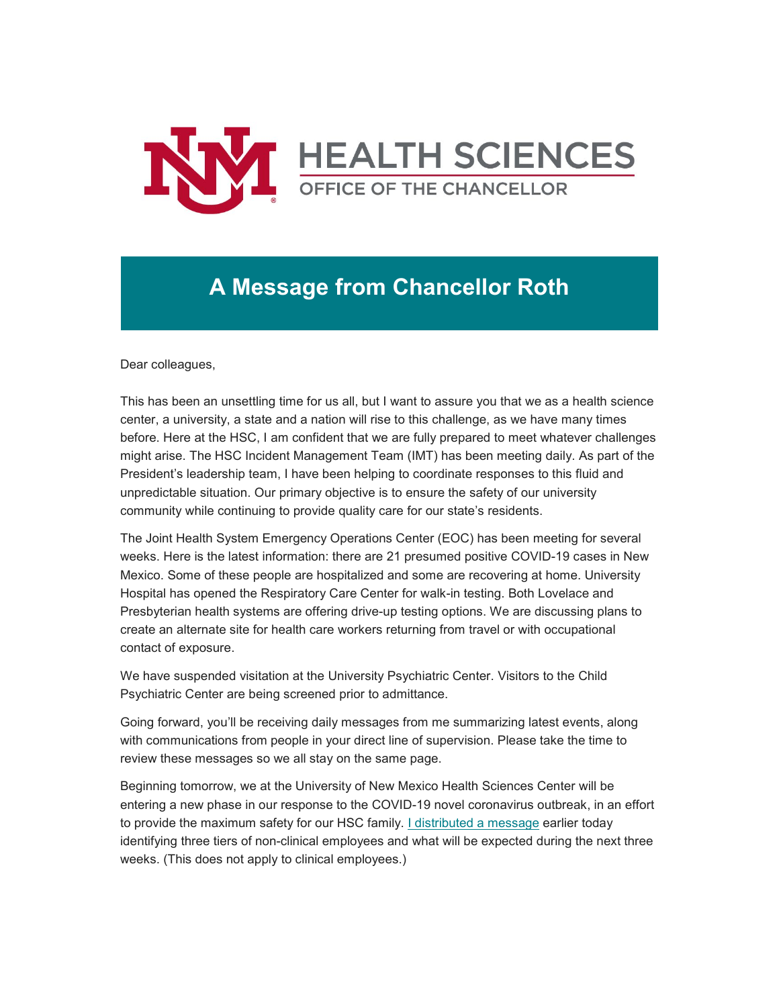

# **A Message from Chancellor Roth**

Dear colleagues,

This has been an unsettling time for us all, but I want to assure you that we as a health science center, a university, a state and a nation will rise to this challenge, as we have many times before. Here at the HSC, I am confident that we are fully prepared to meet whatever challenges might arise. The HSC Incident Management Team (IMT) has been meeting daily. As part of the President's leadership team, I have been helping to coordinate responses to this fluid and unpredictable situation. Our primary objective is to ensure the safety of our university community while continuing to provide quality care for our state's residents.

The Joint Health System Emergency Operations Center (EOC) has been meeting for several weeks. Here is the latest information: there are 21 presumed positive COVID-19 cases in New Mexico. Some of these people are hospitalized and some are recovering at home. University Hospital has opened the Respiratory Care Center for walk-in testing. Both Lovelace and Presbyterian health systems are offering drive-up testing options. We are discussing plans to create an alternate site for health care workers returning from travel or with occupational contact of exposure.

We have suspended visitation at the University Psychiatric Center. Visitors to the Child Psychiatric Center are being screened prior to admittance.

Going forward, you'll be receiving daily messages from me summarizing latest events, along with communications from people in your direct line of supervision. Please take the time to review these messages so we all stay on the same page.

Beginning tomorrow, we at the University of New Mexico Health Sciences Center will be entering a new phase in our response to the COVID-19 novel coronavirus outbreak, in an effort to provide the maximum safety for our HSC family. [I distributed a message](https://unm.us19.list-manage.com/track/click?u=59ce53c1a4dedb490bac78648&id=790bdc8e7d&e=b4bbfca2c0) earlier today identifying three tiers of non-clinical employees and what will be expected during the next three weeks. (This does not apply to clinical employees.)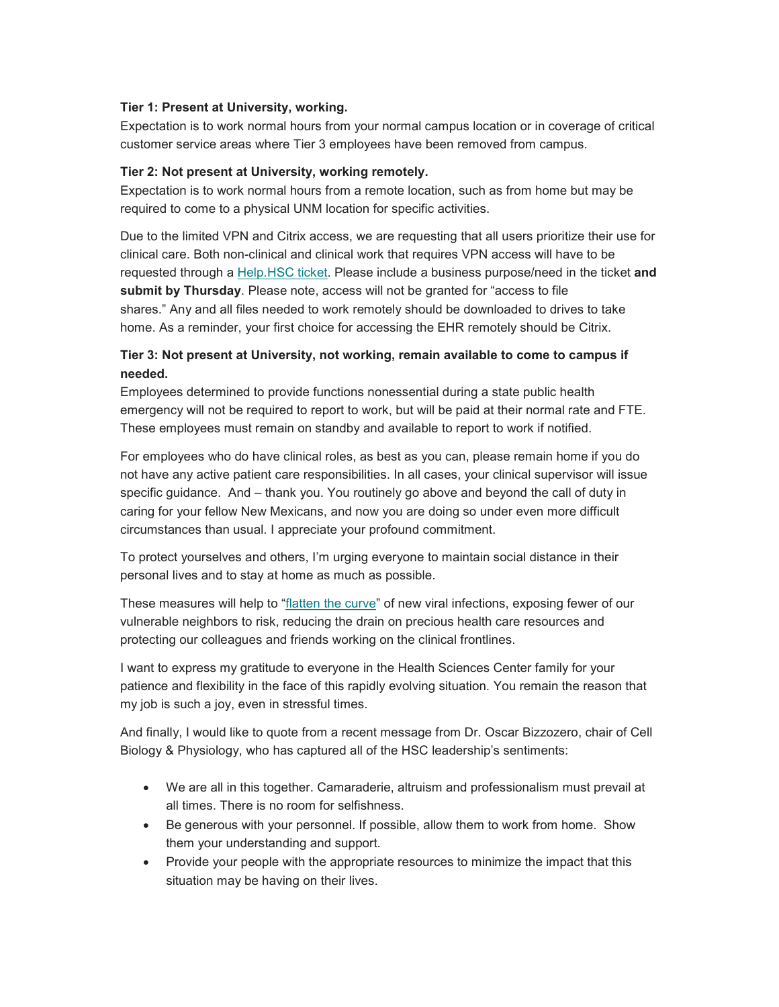### **Tier 1: Present at University, working.**

Expectation is to work normal hours from your normal campus location or in coverage of critical customer service areas where Tier 3 employees have been removed from campus.

### **Tier 2: Not present at University, working remotely.**

Expectation is to work normal hours from a remote location, such as from home but may be required to come to a physical UNM location for specific activities.

Due to the limited VPN and Citrix access, we are requesting that all users prioritize their use for clinical care. Both non-clinical and clinical work that requires VPN access will have to be requested through a [Help.HSC ticket.](https://unm.us19.list-manage.com/track/click?u=59ce53c1a4dedb490bac78648&id=9153b86503&e=b4bbfca2c0) Please include a business purpose/need in the ticket **and submit by Thursday**. Please note, access will not be granted for "access to file shares." Any and all files needed to work remotely should be downloaded to drives to take home. As a reminder, your first choice for accessing the EHR remotely should be Citrix.

### **Tier 3: Not present at University, not working, remain available to come to campus if needed.**

Employees determined to provide functions nonessential during a state public health emergency will not be required to report to work, but will be paid at their normal rate and FTE. These employees must remain on standby and available to report to work if notified.

For employees who do have clinical roles, as best as you can, please remain home if you do not have any active patient care responsibilities. In all cases, your clinical supervisor will issue specific guidance. And – thank you. You routinely go above and beyond the call of duty in caring for your fellow New Mexicans, and now you are doing so under even more difficult circumstances than usual. I appreciate your profound commitment.

To protect yourselves and others, I'm urging everyone to maintain social distance in their personal lives and to stay at home as much as possible.

These measures will help to ["flatten the curve"](https://unm.us19.list-manage.com/track/click?u=59ce53c1a4dedb490bac78648&id=e5ca6415e0&e=b4bbfca2c0) of new viral infections, exposing fewer of our vulnerable neighbors to risk, reducing the drain on precious health care resources and protecting our colleagues and friends working on the clinical frontlines.

I want to express my gratitude to everyone in the Health Sciences Center family for your patience and flexibility in the face of this rapidly evolving situation. You remain the reason that my job is such a joy, even in stressful times.

And finally, I would like to quote from a recent message from Dr. Oscar Bizzozero, chair of Cell Biology & Physiology, who has captured all of the HSC leadership's sentiments:

- We are all in this together. Camaraderie, altruism and professionalism must prevail at all times. There is no room for selfishness.
- Be generous with your personnel. If possible, allow them to work from home. Show them your understanding and support.
- Provide your people with the appropriate resources to minimize the impact that this situation may be having on their lives.